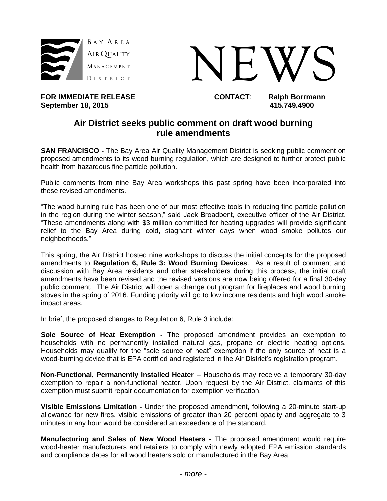



FOR IMMEDIATE RELEASE **CONTACT:** Ralph Borrmann<br>September 18, 2015 **September 18, 2015.** 

## **Air District seeks public comment on draft wood burning rule amendments**

**SAN FRANCISCO -** The Bay Area Air Quality Management District is seeking public comment on proposed amendments to its wood burning regulation, which are designed to further protect public health from hazardous fine particle pollution.

Public comments from nine Bay Area workshops this past spring have been incorporated into these revised amendments.

"The wood burning rule has been one of our most effective tools in reducing fine particle pollution in the region during the winter season," said Jack Broadbent, executive officer of the Air District. "These amendments along with \$3 million committed for heating upgrades will provide significant relief to the Bay Area during cold, stagnant winter days when wood smoke pollutes our neighborhoods."

This spring, the Air District hosted nine workshops to discuss the initial concepts for the proposed amendments to **Regulation 6, Rule 3: Wood Burning Devices**. As a result of comment and discussion with Bay Area residents and other stakeholders during this process, the initial draft amendments have been revised and the revised versions are now being offered for a final 30-day public comment. The Air District will open a change out program for fireplaces and wood burning stoves in the spring of 2016. Funding priority will go to low income residents and high wood smoke impact areas.

In brief, the proposed changes to Regulation 6, Rule 3 include:

**Sole Source of Heat Exemption -** The proposed amendment provides an exemption to households with no permanently installed natural gas, propane or electric heating options. Households may qualify for the "sole source of heat" exemption if the only source of heat is a wood-burning device that is EPA certified and registered in the Air District's registration program.

**Non-Functional, Permanently Installed Heater** – Households may receive a temporary 30-day exemption to repair a non-functional heater. Upon request by the Air District, claimants of this exemption must submit repair documentation for exemption verification.

**Visible Emissions Limitation -** Under the proposed amendment, following a 20-minute start-up allowance for new fires, visible emissions of greater than 20 percent opacity and aggregate to 3 minutes in any hour would be considered an exceedance of the standard.

**Manufacturing and Sales of New Wood Heaters -** The proposed amendment would require wood-heater manufacturers and retailers to comply with newly adopted EPA emission standards and compliance dates for all wood heaters sold or manufactured in the Bay Area.